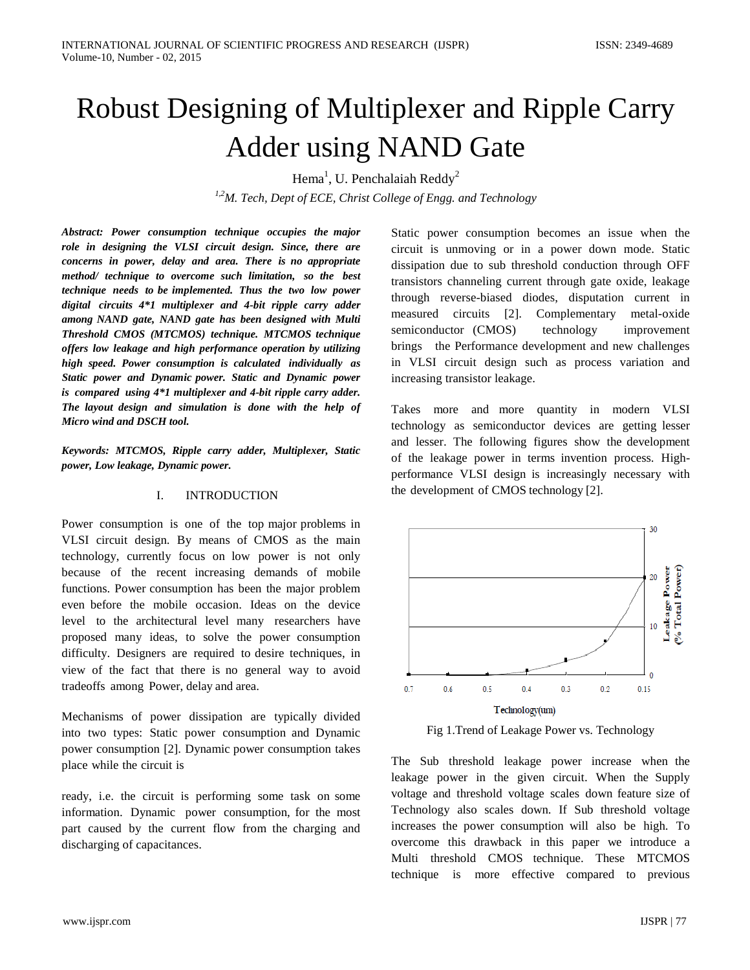# Robust Designing of Multiplexer and Ripple Carry Adder using NAND Gate

Hema<sup>1</sup>, U. Penchalaiah Reddy<sup>2</sup>

*1,2M. Tech, Dept of ECE, Christ College of Engg. and Technology*

*Abstract: Power consumption technique occupies the major role in designing the VLSI circuit design. Since, there are concerns in power, delay and area. There is no appropriate method/ technique to overcome such limitation, so the best technique needs to be implemented. Thus the two low power digital circuits 4\*1 multiplexer and 4-bit ripple carry adder among NAND gate, NAND gate has been designed with Multi Threshold CMOS (MTCMOS) technique. MTCMOS technique offers low leakage and high performance operation by utilizing high speed. Power consumption is calculated individually as Static power and Dynamic power. Static and Dynamic power is compared using 4\*1 multiplexer and 4-bit ripple carry adder. The layout design and simulation is done with the help of Micro wind and DSCH tool.*

*Keywords: MTCMOS, Ripple carry adder, Multiplexer, Static power, Low leakage, Dynamic power.*

# I. INTRODUCTION

Power consumption is one of the top major problems in VLSI circuit design. By means of CMOS as the main technology, currently focus on low power is not only because of the recent increasing demands of mobile functions. Power consumption has been the major problem even before the mobile occasion. Ideas on the device level to the architectural level many researchers have proposed many ideas, to solve the power consumption difficulty. Designers are required to desire techniques, in view of the fact that there is no general way to avoid tradeoffs among Power, delay and area.

Mechanisms of power dissipation are typically divided into two types: Static power consumption and Dynamic power consumption [2]. Dynamic power consumption takes place while the circuit is

ready, i.e. the circuit is performing some task on some information. Dynamic power consumption, for the most part caused by the current flow from the charging and discharging of capacitances.

Static power consumption becomes an issue when the circuit is unmoving or in a power down mode. Static dissipation due to sub threshold conduction through OFF transistors channeling current through gate oxide, leakage through reverse-biased diodes, disputation current in measured circuits [2]. Complementary metal-oxide semiconductor (CMOS) technology improvement brings the Performance development and new challenges in VLSI circuit design such as process variation and increasing transistor leakage.

Takes more and more quantity in modern VLSI technology as semiconductor devices are getting lesser and lesser. The following figures show the development of the leakage power in terms invention process. Highperformance VLSI design is increasingly necessary with the development of CMOS technology [2].



Fig 1.Trend of Leakage Power vs. Technology

The Sub threshold leakage power increase when the leakage power in the given circuit. When the Supply voltage and threshold voltage scales down feature size of Technology also scales down. If Sub threshold voltage increases the power consumption will also be high. To overcome this drawback in this paper we introduce a Multi threshold CMOS technique. These MTCMOS technique is more effective compared to previous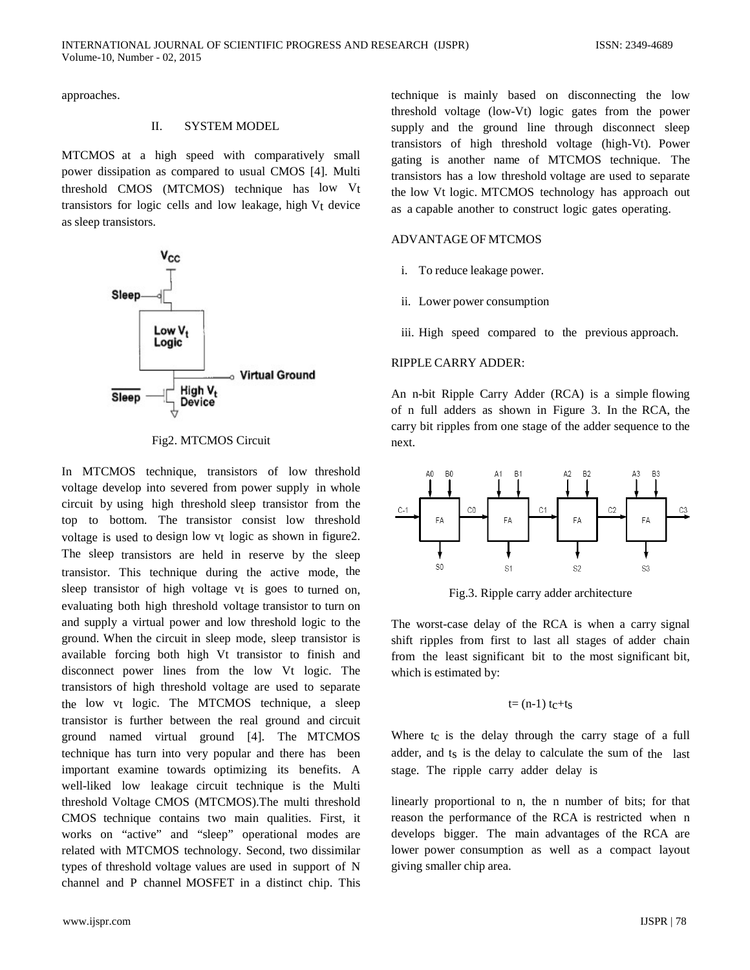approaches.

#### II. SYSTEM MODEL

MTCMOS at a high speed with comparatively small power dissipation as compared to usual CMOS [4]. Multi threshold CMOS (MTCMOS) technique has low Vt transistors for logic cells and low leakage, high Vt device as sleep transistors.



Fig2. MTCMOS Circuit

In MTCMOS technique, transistors of low threshold voltage develop into severed from power supply in whole circuit by using high threshold sleep transistor from the top to bottom. The transistor consist low threshold voltage is used to design low vt logic as shown in figure2. The sleep transistors are held in reserve by the sleep transistor. This technique during the active mode, the sleep transistor of high voltage vt is goes to turned on. evaluating both high threshold voltage transistor to turn on and supply a virtual power and low threshold logic to the ground. When the circuit in sleep mode, sleep transistor is available forcing both high Vt transistor to finish and disconnect power lines from the low Vt logic. The transistors of high threshold voltage are used to separate the low vt logic. The MTCMOS technique, a sleep transistor is further between the real ground and circuit ground named virtual ground [4]. The MTCMOS technique has turn into very popular and there has been important examine towards optimizing its benefits. A well-liked low leakage circuit technique is the Multi threshold Voltage CMOS (MTCMOS).The multi threshold CMOS technique contains two main qualities. First, it works on "active" and "sleep" operational modes are related with MTCMOS technology. Second, two dissimilar types of threshold voltage values are used in support of N channel and P channel MOSFET in a distinct chip. This

technique is mainly based on disconnecting the low threshold voltage (low-Vt) logic gates from the power supply and the ground line through disconnect sleep transistors of high threshold voltage (high-Vt). Power gating is another name of MTCMOS technique. The transistors has a low threshold voltage are used to separate the low Vt logic. MTCMOS technology has approach out as a capable another to construct logic gates operating.

## ADVANTAGE OF MTCMOS

- i. To reduce leakage power.
- ii. Lower power consumption
- iii. High speed compared to the previous approach.

## RIPPLE CARRY ADDER:

An n-bit Ripple Carry Adder (RCA) is a simple flowing of n full adders as shown in Figure 3. In the RCA, the carry bit ripples from one stage of the adder sequence to the next.



Fig.3. Ripple carry adder architecture

The worst-case delay of the RCA is when a carry signal shift ripples from first to last all stages of adder chain from the least significant bit to the most significant bit, which is estimated by:

$$
t=(n-1) t_c+t_s
$$

Where tc is the delay through the carry stage of a full adder, and ts is the delay to calculate the sum of the last stage. The ripple carry adder delay is

linearly proportional to n, the n number of bits; for that reason the performance of the RCA is restricted when n develops bigger. The main advantages of the RCA are lower power consumption as well as a compact layout giving smaller chip area.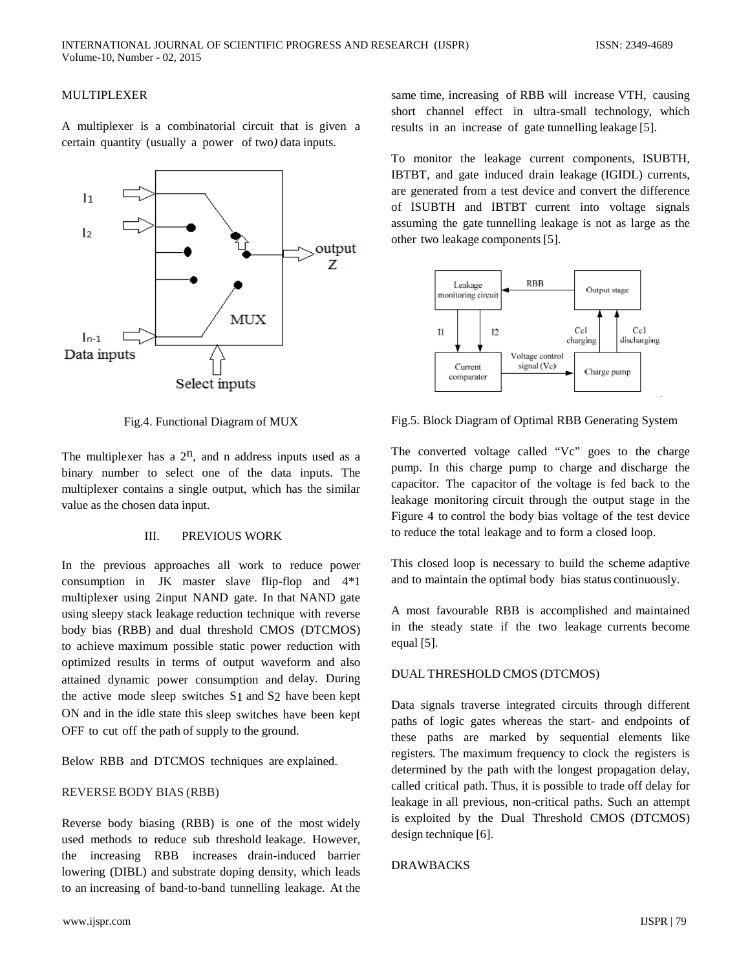# MULTIPLEXER

A multiplexer is a combinatorial circuit that is given a certain quantity (usually a power of two*)* data inputs.



Fig.4. Functional Diagram of MUX

The multiplexer has a  $2<sup>n</sup>$ , and n address inputs used as a binary number to select one of the data inputs. The multiplexer contains a single output, which has the similar value as the chosen data input.

#### III. PREVIOUS WORK

In the previous approaches all work to reduce power consumption in JK master slave flip-flop and 4\*1 multiplexer using 2input NAND gate. In that NAND gate using sleepy stack leakage reduction technique with reverse body bias (RBB) and dual threshold CMOS (DTCMOS) to achieve maximum possible static power reduction with optimized results in terms of output waveform and also attained dynamic power consumption and delay. During the active mode sleep switches S1 and S2 have been kept ON and in the idle state this sleep switches have been kept OFF to cut off the path of supply to the ground.

Below RBB and DTCMOS techniques are explained.

## REVERSE BODY BIAS (RBB)

Reverse body biasing (RBB) is one of the most widely used methods to reduce sub threshold leakage. However, the increasing RBB increases drain-induced barrier lowering (DIBL) and substrate doping density, which leads to an increasing of band-to-band tunnelling leakage. At the same time, increasing of RBB will increase VTH, causing short channel effect in ultra-small technology, which results in an increase of gate tunnelling leakage [5].

To monitor the leakage current components, ISUBTH, IBTBT, and gate induced drain leakage (IGIDL) currents, are generated from a test device and convert the difference of ISUBTH and IBTBT current into voltage signals assuming the gate tunnelling leakage is not as large as the other two leakage components [5].



Fig.5. Block Diagram of Optimal RBB Generating System

The converted voltage called "Vc" goes to the charge pump. In this charge pump to charge and discharge the capacitor. The capacitor of the voltage is fed back to the leakage monitoring circuit through the output stage in the Figure 4 to control the body bias voltage of the test device to reduce the total leakage and to form a closed loop.

This closed loop is necessary to build the scheme adaptive and to maintain the optimal body bias status continuously.

A most favourable RBB is accomplished and maintained in the steady state if the two leakage currents become equal [5].

#### DUAL THRESHOLD CMOS (DTCMOS)

Data signals traverse integrated circuits through different paths of logic gates whereas the start- and endpoints of these paths are marked by sequential elements like registers. The maximum frequency to clock the registers is determined by the path with the longest propagation delay, called critical path. Thus, it is possible to trade off delay for leakage in all previous, non-critical paths. Such an attempt is exploited by the Dual Threshold CMOS (DTCMOS) design technique [6].

### DRAWBACKS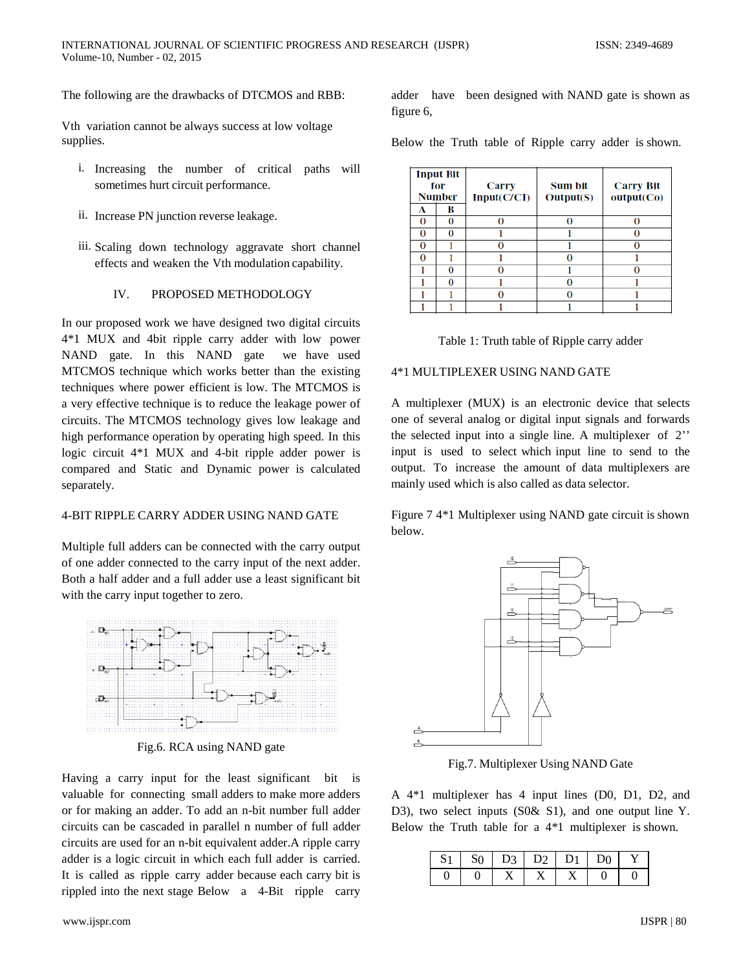The following are the drawbacks of DTCMOS and RBB:

Vth variation cannot be always success at low voltage supplies.

- i. Increasing the number of critical paths will sometimes hurt circuit performance.
- ii. Increase PN junction reverse leakage.
- iii. Scaling down technology aggravate short channel effects and weaken the Vth modulation capability.

#### IV. PROPOSED METHODOLOGY

In our proposed work we have designed two digital circuits 4\*1 MUX and 4bit ripple carry adder with low power NAND gate. In this NAND gate we have used MTCMOS technique which works better than the existing techniques where power efficient is low. The MTCMOS is a very effective technique is to reduce the leakage power of circuits. The MTCMOS technology gives low leakage and high performance operation by operating high speed. In this logic circuit 4\*1 MUX and 4-bit ripple adder power is compared and Static and Dynamic power is calculated separately.

# 4-BIT RIPPLE CARRY ADDER USING NAND GATE

Multiple full adders can be connected with the carry output of one adder connected to the carry input of the next adder. Both a half adder and a full adder use a least significant bit with the carry input together to zero.



Fig.6. RCA using NAND gate

Having a carry input for the least significant bit is valuable for connecting small adders to make more adders or for making an adder. To add an n-bit number full adder circuits can be cascaded in parallel n number of full adder circuits are used for an n-bit equivalent adder.A ripple carry adder is a logic circuit in which each full adder is carried. It is called as ripple carry adder because each carry bit is rippled into the next stage Below a 4-Bit ripple carry adder have been designed with NAND gate is shown as figure 6,

Below the Truth table of Ripple carry adder is shown.

| <b>Input Bit</b><br>for<br><b>Number</b> |        | Carry<br>Input(C/CI) | Sum bit<br>Output(S) | <b>Carry Bit</b><br>output(Co) |
|------------------------------------------|--------|----------------------|----------------------|--------------------------------|
| А<br>0                                   | в<br>О | 0                    | O                    |                                |
| 0                                        | O      |                      |                      |                                |
| 0                                        |        | n                    |                      |                                |
| 0                                        |        |                      |                      |                                |
|                                          |        |                      |                      |                                |
|                                          |        |                      |                      |                                |
|                                          |        |                      |                      |                                |
|                                          |        |                      |                      |                                |

| Table 1: Truth table of Ripple carry adder |  |  |
|--------------------------------------------|--|--|
|--------------------------------------------|--|--|

## 4\*1 MULTIPLEXER USING NAND GATE

A multiplexer (MUX) is an electronic device that selects one of several analog or digital input signals and forwards the selected input into a single line. A multiplexer of 2'' input is used to select which input line to send to the output. To increase the amount of data multiplexers are mainly used which is also called as data selector.

Figure 7 4\*1 Multiplexer using NAND gate circuit is shown below.



Fig.7. Multiplexer Using NAND Gate

A 4\*1 multiplexer has 4 input lines (D0, D1, D2, and D3), two select inputs (S0& S1), and one output line Y. Below the Truth table for a 4\*1 multiplexer is shown.

|  | $S_0$   D <sub>3</sub>   D <sub>2</sub>   D <sub>1</sub>   D <sub>0</sub> |  |  |
|--|---------------------------------------------------------------------------|--|--|
|  |                                                                           |  |  |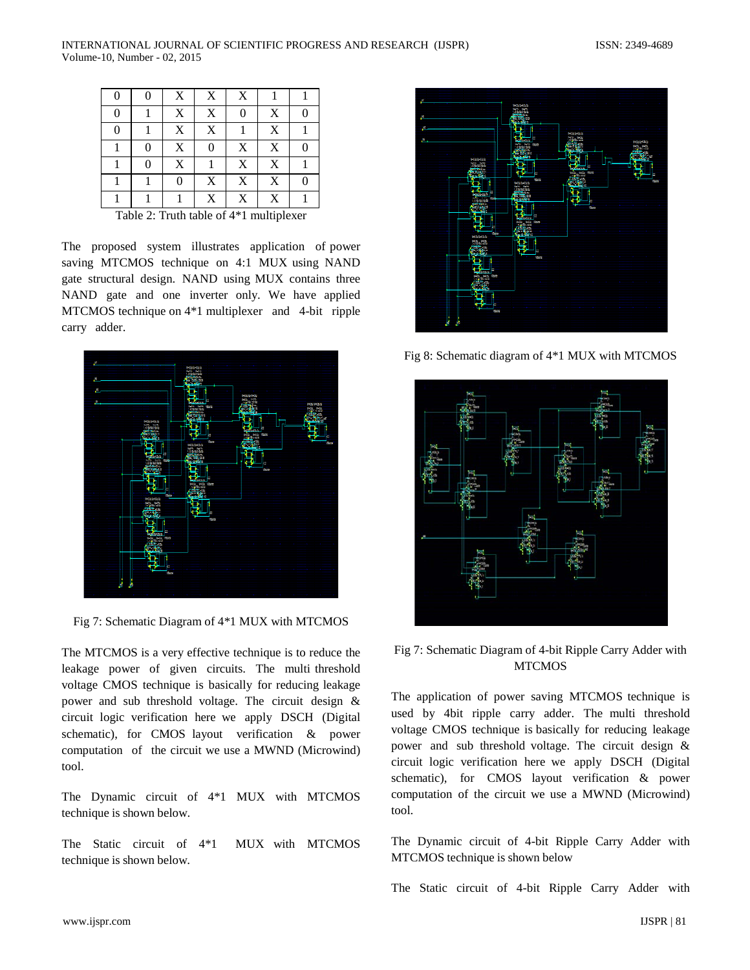| 0 |   | X | X           | X        |   |  |
|---|---|---|-------------|----------|---|--|
| 0 |   | X | X           | $\Omega$ | X |  |
| 0 |   | X | X           |          | X |  |
|   | 0 | X | 0           | X        | X |  |
|   |   | X |             | X        | X |  |
|   |   | 0 | X           | X        | X |  |
|   |   |   | $\mathbf X$ | X        | X |  |

Table 2: Truth table of 4\*1 multiplexer

The proposed system illustrates application of power saving MTCMOS technique on 4:1 MUX using NAND gate structural design. NAND using MUX contains three NAND gate and one inverter only. We have applied MTCMOS technique on 4\*1 multiplexer and 4-bit ripple carry adder.



Fig 7: Schematic Diagram of 4\*1 MUX with MTCMOS

The MTCMOS is a very effective technique is to reduce the leakage power of given circuits. The multi threshold voltage CMOS technique is basically for reducing leakage power and sub threshold voltage. The circuit design & circuit logic verification here we apply DSCH (Digital schematic), for CMOS layout verification & power computation of the circuit we use a MWND (Microwind) tool.

The Dynamic circuit of 4\*1 MUX with MTCMOS technique is shown below.

The Static circuit of 4\*1 MUX with MTCMOS technique is shown below.



Fig 8: Schematic diagram of 4\*1 MUX with MTCMOS



Fig 7: Schematic Diagram of 4-bit Ripple Carry Adder with **MTCMOS** 

The application of power saving MTCMOS technique is used by 4bit ripple carry adder. The multi threshold voltage CMOS technique is basically for reducing leakage power and sub threshold voltage. The circuit design & circuit logic verification here we apply DSCH (Digital schematic), for CMOS layout verification & power computation of the circuit we use a MWND (Microwind) tool.

The Dynamic circuit of 4-bit Ripple Carry Adder with MTCMOS technique is shown below

The Static circuit of 4-bit Ripple Carry Adder with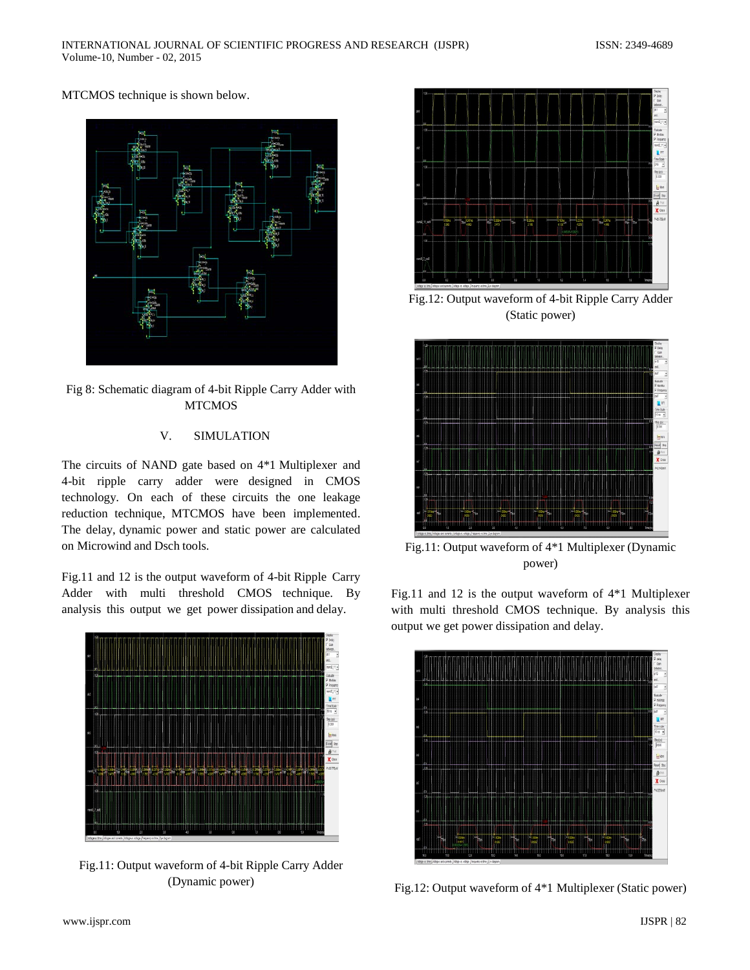MTCMOS technique is shown below.



Fig 8: Schematic diagram of 4-bit Ripple Carry Adder with **MTCMOS** 

# V. SIMULATION

The circuits of NAND gate based on 4\*1 Multiplexer and 4-bit ripple carry adder were designed in CMOS technology. On each of these circuits the one leakage reduction technique, MTCMOS have been implemented. The delay, dynamic power and static power are calculated on Microwind and Dsch tools.

Fig.11 and 12 is the output waveform of 4-bit Ripple Carry Adder with multi threshold CMOS technique. By analysis this output we get power dissipation and delay.



Fig.11: Output waveform of 4-bit Ripple Carry Adder (Dynamic power)



Fig.12: Output waveform of 4-bit Ripple Carry Adder (Static power)



Fig.11: Output waveform of 4\*1 Multiplexer (Dynamic power)

Fig.11 and 12 is the output waveform of 4\*1 Multiplexer with multi threshold CMOS technique. By analysis this output we get power dissipation and delay.



Fig.12: Output waveform of 4\*1 Multiplexer (Static power)